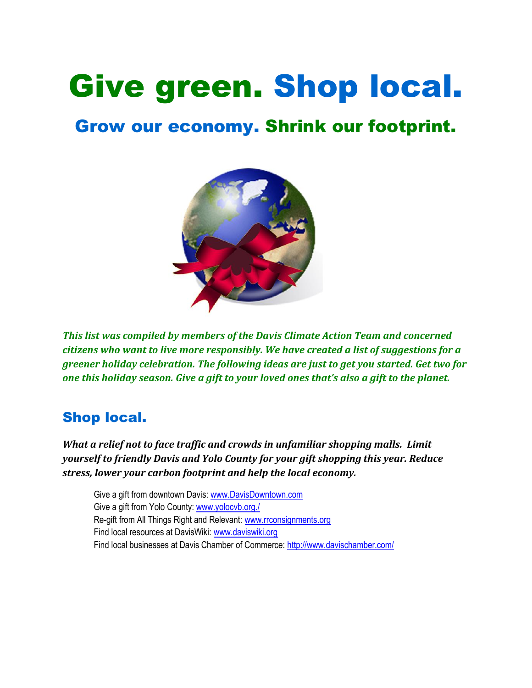# Give green. Shop local.

# Grow our economy. Shrink our footprint.



*This list was compiled by members of the Davis Climate Action Team and concerned citizens who want to live more responsibly. We have created a list of suggestions for a greener holiday celebration. The following ideas are just to get you started. Get two for one this holiday season. Give a gift to your loved ones that's also a gift to the planet.*

## Shop local.

*What a relief not to face traffic and crowds in unfamiliar shopping malls. Limit yourself to friendly Davis and Yolo County for your gift shopping this year. Reduce stress, lower your carbon footprint and help the local economy.*

Give a gift from downtown Davis: [www.DavisDowntown.com](http://www.davisdowntown.com/) Give a gift from Yolo County: [www.yolocvb.org./](http://www.yolocvb.org./) Re-gift from All Things Right and Relevant[: www.rrconsignments.org](http://www.rrconsignments.org/)  Find local resources at DavisWiki: [www.daviswiki.org](http://www.daviswiki.org/) Find local businesses at Davis Chamber of Commerce: <http://www.davischamber.com/>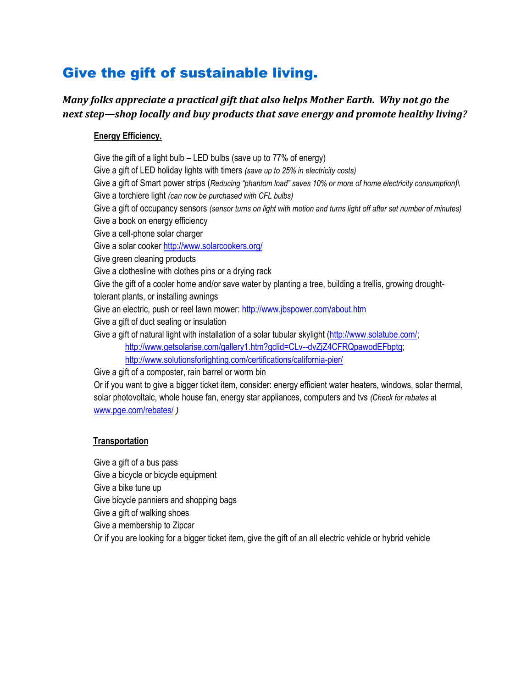## Give the gift of sustainable living.

#### *Many folks appreciate a practical gift that also helps Mother Earth. Why not go the next step—shop locally and buy products that save energy and promote healthy living?*

#### **Energy Efficiency.**

Give the gift of a light bulb – LED bulbs (save up to 77% of energy) Give a gift of LED holiday lights with timers *(save up to 25% in electricity costs)* Give a gift of Smart power strips (*Reducing "phantom load" saves 10% or more of home electricity consumption)*\ Give a torchiere light *(can now be purchased with CFL bulbs)* Give a gift of occupancy sensors *(sensor turns on light with motion and turns light off after set number of minutes)* Give a book on energy efficiency Give a cell-phone solar charger Give a solar cooker<http://www.solarcookers.org/> Give green cleaning products Give a clothesline with clothes pins or a drying rack Give the gift of a cooler home and/or save water by planting a tree, building a trellis, growing droughttolerant plants, or installing awnings Give an electric, push or reel lawn mower[: http://www.jbspower.com/about.htm](http://www.jbspower.com/about.htm) Give a gift of duct sealing or insulation Give a gift of natural light with installation of a solar tubular skylight [\(http://www.solatube.com/;](http://www.solatube.com/) [http://www.getsolarise.com/gallery1.htm?gclid=CLv--dvZjZ4CFRQpawodEFbptg;](http://www.getsolarise.com/gallery1.htm?gclid=CLv--dvZjZ4CFRQpawodEFbptg) <http://www.solutionsforlighting.com/certifications/california-pier/> Give a gift of a composter, rain barrel or worm bin

Or if you want to give a bigger ticket item, consider: energy efficient water heaters, windows, solar thermal, solar photovoltaic, whole house fan, energy star appliances, computers and tvs *(Check for rebates* at [www.pge.com/rebates/](http://www.pge.com/rebates/) *)*

#### **Transportation**

Give a gift of a bus pass Give a bicycle or bicycle equipment Give a bike tune up Give bicycle panniers and shopping bags Give a gift of walking shoes Give a membership to Zipcar Or if you are looking for a bigger ticket item, give the gift of an all electric vehicle or hybrid vehicle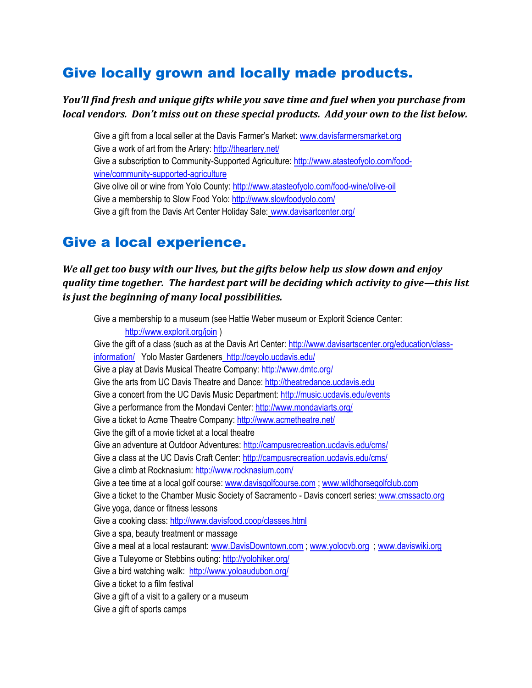## Give locally grown and locally made products.

#### *You'll find fresh and unique gifts while you save time and fuel when you purchase from local vendors. Don't miss out on these special products. Add your own to the list below.*

Give a gift from a local seller at the Davis Farmer's Market: [www.davisfarmersmarket.org](http://www.davisfarmersmarket.org/) Give a work of art from the Artery:<http://theartery.net/> Give a subscription to Community-Supported Agriculture: [http://www.atasteofyolo.com/food](http://www.atasteofyolo.com/food-wine/community-supported-agriculture)[wine/community-supported-agriculture](http://www.atasteofyolo.com/food-wine/community-supported-agriculture) Give olive oil or wine from Yolo County:<http://www.atasteofyolo.com/food-wine/olive-oil> Give a membership to Slow Food Yolo:<http://www.slowfoodyolo.com/> Give a gift from the Davis Art Center Holiday Sale: [www.davisartcenter.org/](http://www.davisartcenter.org/)

#### Give a local experience.

*We all get too busy with our lives, but the gifts below help us slow down and enjoy quality time together. The hardest part will be deciding which activity to give—this list is just the beginning of many local possibilities.*

Give a membership to a museum (see Hattie Weber museum or Explorit Science Center: <http://www.explorit.org/join> ) Give the gift of a class (such as at the Davis Art Center: [http://www.davisartscenter.org/education/class](http://www.davisartscenter.org/education/class-information/)[information/](http://www.davisartscenter.org/education/class-information/) Yolo Master Gardener[s http://ceyolo.ucdavis.edu/](http://ceyolo.ucdavis.edu/) Give a play at Davis Musical Theatre Company:<http://www.dmtc.org/> Give the arts from UC Davis Theatre and Dance: [http://theatredance.ucdavis.edu](http://theatredance.ucdavis.edu/) Give a concert from the UC Davis Music Department:<http://music.ucdavis.edu/events> Give a performance from the Mondavi Center:<http://www.mondaviarts.org/> Give a ticket to Acme Theatre Company:<http://www.acmetheatre.net/> Give the gift of a movie ticket at a local theatre Give an adventure at Outdoor Adventures:<http://campusrecreation.ucdavis.edu/cms/> Give a class at the UC Davis Craft Center[: http://campusrecreation.ucdavis.edu/cms/](http://campusrecreation.ucdavis.edu/cms/) Give a climb at Rocknasium:<http://www.rocknasium.com/> Give a tee time at a local golf course: [www.davisgolfcourse.com](http://www.davisgolfcourse.com/) [; www.wildhorsegolfclub.com](http://www.wildhorsegolfclub.com/) Give a ticket to the Chamber Music Society of Sacramento - Davis concert series: [www.cmssacto.org](http://www.cmssacto.org/) Give yoga, dance or fitness lessons Give a cooking class: <http://www.davisfood.coop/classes.html> Give a spa, beauty treatment or massage Give a meal at a local restaurant: [www.DavisDowntown.com](http://www.davisdowntown.com/) [; www.yolocvb.org](http://www.yolocvb.org/) ; [www.daviswiki.org](http://www.daviswiki.org/)  Give a Tuleyome or Stebbins outing: <http://yolohiker.org/> Give a bird watching walk: <http://www.yoloaudubon.org/> Give a ticket to a film festival Give a gift of a visit to a gallery or a museum Give a gift of sports camps